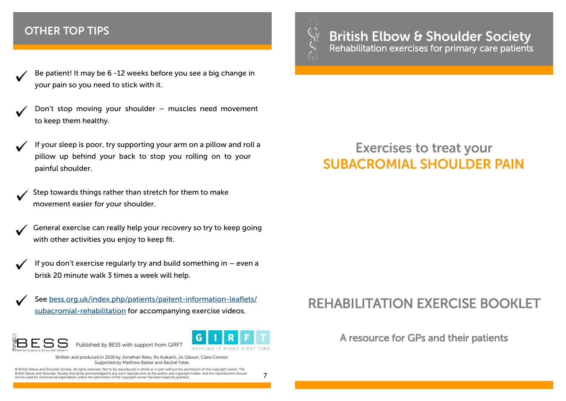#### **OTHER TOP TIPS**

- Be patient! It may be 6 -12 weeks before you see a big change in your pain so you need to stick with it.
- Don't stop moving your shoulder muscles need movement to keep them healthy.
- If your sleep is poor, try supporting your arm on a pillow and roll a pillow up behind your back to stop you rolling on to your painful shoulder.

Step towards things rather than stretch for them to make movement easier for your shoulder.

General exercise can really help your recovery so try to keep going with other activities you enjoy to keep fit.

- If you don't exercise regularly try and build something in even a brisk 20 minute walk 3 times a week will help.
- See [bess.org.uk/index.php/patients/paitent](http://www.bess.org.uk/index.php/patients/paitent-information-leaflets/subacromial-rehabilitation)-information-leaflets/ subacromial-[rehabilitation](http://www.bess.org.uk/index.php/patients/paitent-information-leaflets/subacromial-rehabilitation) for accompanying exercise videos.





Written and produced in 2018 by Jonathan Rees, Ro Kulkarni, Jo Gibson, Clare Connor. Supported by Matthew Barker and Rachel Yates.

© British Elbow and Shoulder Society. All rights reserved. Not to be reproduced in whole or in part without the permission of the copyright owner. The British Elbow and Shoulder Society should be acknowledged in any such reproduction as the author and copyright holder, and the reproduction should  $\phantom{1}7$ 

Published by BESS with support from GIRFT



# **British Elbow & Shoulder Society**<br>Rehabilitation exercises for primary care patients

# **Exercises to treat your SUBACROMIAL SHOULDER PAIN**

## REHABILITATION EXERCISE BOOKLET

A resource for GPs and their patients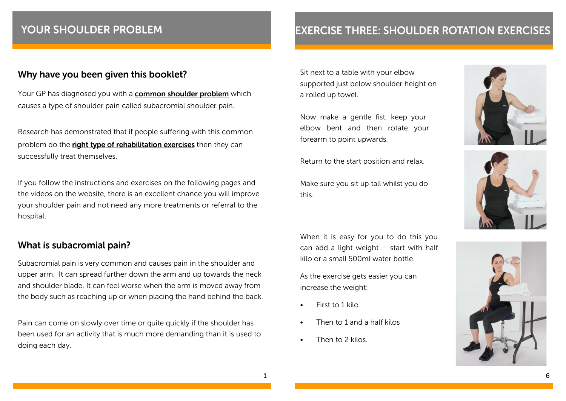## YOUR SHOULDER PROBLEM

#### Why have you been given this booklet?

Your GP has diagnosed you with a **common shoulder problem** which causes a type of shoulder pain called subacromial shoulder pain.

Research has demonstrated that if people suffering with this common problem do the right type of rehabilitation exercises then they can successfully treat themselves.

If you follow the instructions and exercises on the following pages and the videos on the website, there is an excellent chance you will improve your shoulder pain and not need any more treatments or referral to the hospital.

#### What is subacromial pain?

Subacromial pain is very common and causes pain in the shoulder and upper arm. It can spread further down the arm and up towards the neck and shoulder blade. It can feel worse when the arm is moved away from the body such as reaching up or when placing the hand behind the back.

Pain can come on slowly over time or quite quickly if the shoulder has been used for an activity that is much more demanding than it is used to doing each day.

## **EXERCISE THREE: SHOULDER ROTATION EXERCISES**

Sit next to a table with your elbow supported just below shoulder height on a rolled up towel.

Now make a gentle fist, keep your elbow bent and then rotate your forearm to point upwards.

Return to the start position and relax.

Make sure you sit up tall whilst you do this.

When it is easy for you to do this you can add a light weight – start with half kilo or a small 500ml water bottle.

As the exercise gets easier you can increase the weight:

- •  First to 1 kilo
- Then to 1 and a half kilos
- •  Then to 2 kilos.





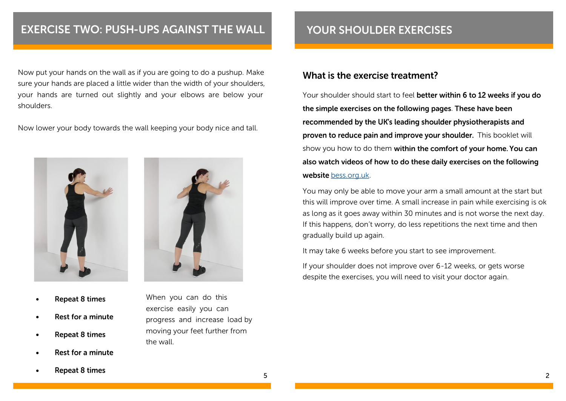## **EXERCISE TWO: PUSH-UPS AGAINST THE WALL**

Now put your hands on the wall as if you are going to do a pushup. Make sure your hands are placed a little wider than the width of your shoulders, your hands are turned out slightly and your elbows are below your shoulders.

Now lower your body towards the wall keeping your body nice and tall.





When you can do this exercise easily you can

the wall.

progress and increase load by moving your feet further from

- **Repeat 8 times** •
- Rest for a minute •
- **Repeat 8 times** •
- Rest for a minute •

**Repeat 8 times** •

#### What is the exercise treatment?

Your shoulder should start to feel better within 6 to 12 weeks if you do the simple exercises on the following pages. These have been recommended by the UK's leading shoulder physiotherapists and proven to reduce pain and improve your shoulder. This booklet will show you how to do them within the comfort of your home. You can also watch videos of how to do these daily exercises on the following website bess.org.uk.

You may only be able to move your arm a small amount at the start but this will improve over time. A small increase in pain while exercising is ok as long as it goes away within 30 minutes and is not worse the next day. If this happens, don't worry, do less repetitions the next time and then gradually build up again.

It may take 6 weeks before you start to see improvement.

If your shoulder does not improve over 6-12 weeks, or gets worse despite the exercises, you will need to visit your doctor again.